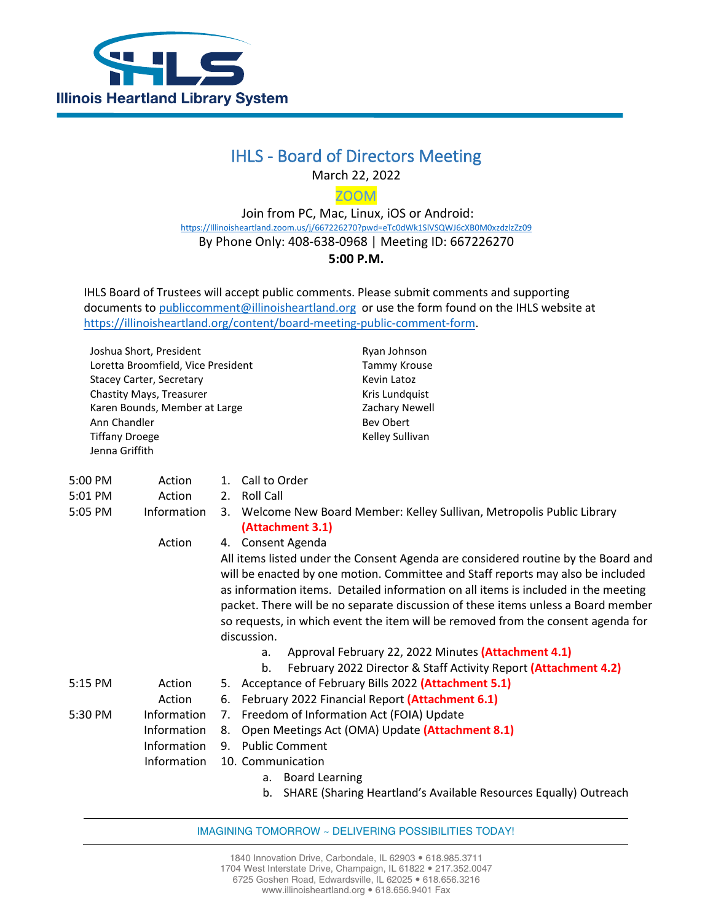

## IHLS - Board of Directors Meeting

March 22, 2022

ZOOM

 Join from PC, Mac, Linux, iOS or Android: [https://Illinoisheartland.zoom.us/j/667226270?pwd=eTc0dWk1SlVSQWJ6cXB0M0xzdzlzZz09](https://illinoisheartland.zoom.us/j/667226270?pwd=eTc0dWk1SlVSQWJ6cXB0M0xzdzlzZz09) By Phone Only: 408-638-0968 | Meeting ID: 667226270 **5:00 P.M.**

IHLS Board of Trustees will accept public comments. Please submit comments and supporting documents t[o publiccomment@illinoisheartland.org](mailto:publiccomment@illinoisheartland.org) or use the form found on the IHLS website at [https://illinoisheartland.org/content/board-meeting-public-comment-form.](https://illinoisheartland.org/content/board-meeting-public-comment-form)

Joshua Short, President Loretta Broomfield, Vice President Stacey Carter, Secretary Chastity Mays, Treasurer Karen Bounds, Member at Large Ann Chandler Tiffany Droege Jenna Griffith

Ryan Johnson Tammy Krouse Kevin Latoz Kris Lundquist Zachary Newell Bev Obert Kelley Sullivan

| $5:00$ PM | Action             | Call to Order<br>1.                                                                                                                                                  |  |  |  |
|-----------|--------------------|----------------------------------------------------------------------------------------------------------------------------------------------------------------------|--|--|--|
| 5:01 PM   | Action             | 2. Roll Call                                                                                                                                                         |  |  |  |
| 5:05 PM   | <b>Information</b> | Welcome New Board Member: Kelley Sullivan, Metropolis Public Library<br>3.                                                                                           |  |  |  |
|           |                    | (Attachment 3.1)                                                                                                                                                     |  |  |  |
|           | Action             | Consent Agenda<br>4.                                                                                                                                                 |  |  |  |
|           |                    | All items listed under the Consent Agenda are considered routine by the Board and<br>will be enacted by one motion. Committee and Staff reports may also be included |  |  |  |
|           |                    | as information items. Detailed information on all items is included in the meeting                                                                                   |  |  |  |
|           |                    | packet. There will be no separate discussion of these items unless a Board member                                                                                    |  |  |  |
|           |                    | so requests, in which event the item will be removed from the consent agenda for                                                                                     |  |  |  |
|           |                    | discussion.                                                                                                                                                          |  |  |  |
|           |                    | Approval February 22, 2022 Minutes (Attachment 4.1)<br>a.                                                                                                            |  |  |  |
|           |                    | February 2022 Director & Staff Activity Report (Attachment 4.2)<br>b.                                                                                                |  |  |  |
| 5:15 PM   | Action             | Acceptance of February Bills 2022 (Attachment 5.1)<br>5.                                                                                                             |  |  |  |
|           | Action             | February 2022 Financial Report (Attachment 6.1)<br>6.                                                                                                                |  |  |  |
| 5:30 PM   | <b>Information</b> | Freedom of Information Act (FOIA) Update<br>7.                                                                                                                       |  |  |  |
|           | <b>Information</b> | Open Meetings Act (OMA) Update (Attachment 8.1)<br>8.                                                                                                                |  |  |  |
|           | Information        | <b>Public Comment</b><br>9.                                                                                                                                          |  |  |  |
|           | Information        | 10. Communication                                                                                                                                                    |  |  |  |
|           |                    | a. Board Learning                                                                                                                                                    |  |  |  |

b. SHARE (Sharing Heartland's Available Resources Equally) Outreach